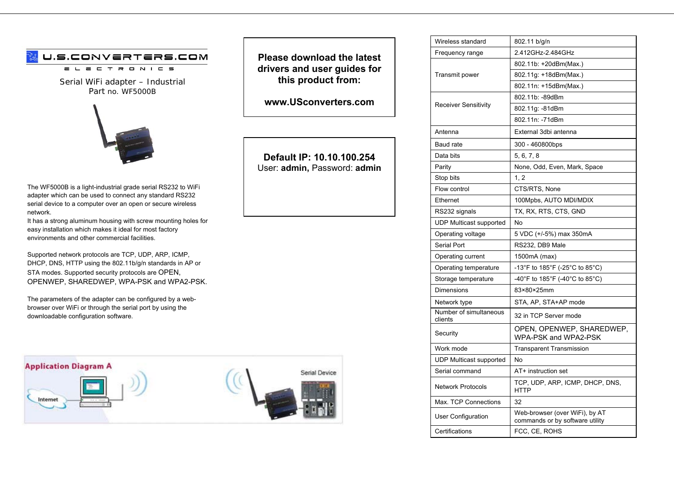# U.S.CONVERTERS.COM

 $E C T R O N I C S$  $=$   $-$ 

Serial WiFi adapter – Industrial Part no. WF5000B



The WF5000B is a light-industrial grade serial RS232 to WiFi adapter which can be used to connect any standard RS232 serial device to a computer over an open or secure wireless network.

It has a strong aluminum housing with screw mounting holes for easy installation which makes it ideal for most factory environments and other commercial facilities.

Supported network protocols are TCP, UDP, ARP, ICMP, DHCP, DNS, HTTP using the 802.11b/g/n standards in AP or STA modes. Supported security protocols are OPEN, OPENWEP, SHAREDWEP, WPA-PSK and WPA2-PSK.

The parameters of the adapter can be configured by a webbrowser over WiFi or through the serial port by using the downloadable configuration software.



**Please download the latest drivers and user guides for this product from:** 

**www.USconverters.com** 

# **Default IP: 10.10.100.254** User: **admin,** Password: **admin**

| 2.412GHz-2.484GHz<br>Frequency range<br>802.11b: +20dBm(Max.)<br>Transmit power<br>802.11g: +18dBm(Max.)<br>802.11n: +15dBm(Max.)<br>802.11b: -89dBm<br><b>Receiver Sensitivity</b><br>802.11g: -81dBm<br>802.11n: -71dBm<br>External 3dbi antenna<br>Antenna<br><b>Baud</b> rate<br>300 - 460800bps<br>Data bits<br>5, 6, 7, 8<br>Parity<br>None, Odd, Even, Mark, Space<br>Stop bits<br>1, 2<br>Flow control<br>CTS/RTS, None<br>100Mpbs, AUTO MDI/MDIX<br>Ethernet<br>TX, RX, RTS, CTS, GND<br>RS232 signals<br><b>UDP Multicast supported</b><br>No<br>5 VDC (+/-5%) max 350mA<br>Operating voltage<br>Serial Port<br>RS232, DB9 Male<br>Operating current<br>1500mA (max)<br>-13°F to 185°F (-25°C to 85°C)<br>Operating temperature<br>-40°F to 185°F (-40°C to 85°C)<br>Storage temperature<br>83×80×25mm<br>Dimensions<br>STA, AP, STA+AP mode<br>Network type<br>Number of simultaneous<br>32 in TCP Server mode<br>clients<br>OPEN, OPENWEP, SHAREDWEP,<br>Security<br>WPA-PSK and WPA2-PSK<br>Work mode<br><b>Transparent Transmission</b><br><b>UDP Multicast supported</b><br>No<br>Serial command<br>AT+ instruction set<br>TCP, UDP, ARP, ICMP, DHCP, DNS,<br><b>Network Protocols</b><br><b>HTTP</b><br>Max. TCP Connections<br>32<br>Web-browser (over WiFi), by AT<br><b>User Configuration</b><br>commands or by software utility<br>Certifications<br>FCC, CE, ROHS | Wireless standard | 802.11 b/g/n |
|-----------------------------------------------------------------------------------------------------------------------------------------------------------------------------------------------------------------------------------------------------------------------------------------------------------------------------------------------------------------------------------------------------------------------------------------------------------------------------------------------------------------------------------------------------------------------------------------------------------------------------------------------------------------------------------------------------------------------------------------------------------------------------------------------------------------------------------------------------------------------------------------------------------------------------------------------------------------------------------------------------------------------------------------------------------------------------------------------------------------------------------------------------------------------------------------------------------------------------------------------------------------------------------------------------------------------------------------------------------------------------------------|-------------------|--------------|
|                                                                                                                                                                                                                                                                                                                                                                                                                                                                                                                                                                                                                                                                                                                                                                                                                                                                                                                                                                                                                                                                                                                                                                                                                                                                                                                                                                                         |                   |              |
|                                                                                                                                                                                                                                                                                                                                                                                                                                                                                                                                                                                                                                                                                                                                                                                                                                                                                                                                                                                                                                                                                                                                                                                                                                                                                                                                                                                         |                   |              |
|                                                                                                                                                                                                                                                                                                                                                                                                                                                                                                                                                                                                                                                                                                                                                                                                                                                                                                                                                                                                                                                                                                                                                                                                                                                                                                                                                                                         |                   |              |
|                                                                                                                                                                                                                                                                                                                                                                                                                                                                                                                                                                                                                                                                                                                                                                                                                                                                                                                                                                                                                                                                                                                                                                                                                                                                                                                                                                                         |                   |              |
|                                                                                                                                                                                                                                                                                                                                                                                                                                                                                                                                                                                                                                                                                                                                                                                                                                                                                                                                                                                                                                                                                                                                                                                                                                                                                                                                                                                         |                   |              |
|                                                                                                                                                                                                                                                                                                                                                                                                                                                                                                                                                                                                                                                                                                                                                                                                                                                                                                                                                                                                                                                                                                                                                                                                                                                                                                                                                                                         |                   |              |
|                                                                                                                                                                                                                                                                                                                                                                                                                                                                                                                                                                                                                                                                                                                                                                                                                                                                                                                                                                                                                                                                                                                                                                                                                                                                                                                                                                                         |                   |              |
|                                                                                                                                                                                                                                                                                                                                                                                                                                                                                                                                                                                                                                                                                                                                                                                                                                                                                                                                                                                                                                                                                                                                                                                                                                                                                                                                                                                         |                   |              |
|                                                                                                                                                                                                                                                                                                                                                                                                                                                                                                                                                                                                                                                                                                                                                                                                                                                                                                                                                                                                                                                                                                                                                                                                                                                                                                                                                                                         |                   |              |
|                                                                                                                                                                                                                                                                                                                                                                                                                                                                                                                                                                                                                                                                                                                                                                                                                                                                                                                                                                                                                                                                                                                                                                                                                                                                                                                                                                                         |                   |              |
|                                                                                                                                                                                                                                                                                                                                                                                                                                                                                                                                                                                                                                                                                                                                                                                                                                                                                                                                                                                                                                                                                                                                                                                                                                                                                                                                                                                         |                   |              |
|                                                                                                                                                                                                                                                                                                                                                                                                                                                                                                                                                                                                                                                                                                                                                                                                                                                                                                                                                                                                                                                                                                                                                                                                                                                                                                                                                                                         |                   |              |
|                                                                                                                                                                                                                                                                                                                                                                                                                                                                                                                                                                                                                                                                                                                                                                                                                                                                                                                                                                                                                                                                                                                                                                                                                                                                                                                                                                                         |                   |              |
|                                                                                                                                                                                                                                                                                                                                                                                                                                                                                                                                                                                                                                                                                                                                                                                                                                                                                                                                                                                                                                                                                                                                                                                                                                                                                                                                                                                         |                   |              |
|                                                                                                                                                                                                                                                                                                                                                                                                                                                                                                                                                                                                                                                                                                                                                                                                                                                                                                                                                                                                                                                                                                                                                                                                                                                                                                                                                                                         |                   |              |
|                                                                                                                                                                                                                                                                                                                                                                                                                                                                                                                                                                                                                                                                                                                                                                                                                                                                                                                                                                                                                                                                                                                                                                                                                                                                                                                                                                                         |                   |              |
|                                                                                                                                                                                                                                                                                                                                                                                                                                                                                                                                                                                                                                                                                                                                                                                                                                                                                                                                                                                                                                                                                                                                                                                                                                                                                                                                                                                         |                   |              |
|                                                                                                                                                                                                                                                                                                                                                                                                                                                                                                                                                                                                                                                                                                                                                                                                                                                                                                                                                                                                                                                                                                                                                                                                                                                                                                                                                                                         |                   |              |
|                                                                                                                                                                                                                                                                                                                                                                                                                                                                                                                                                                                                                                                                                                                                                                                                                                                                                                                                                                                                                                                                                                                                                                                                                                                                                                                                                                                         |                   |              |
|                                                                                                                                                                                                                                                                                                                                                                                                                                                                                                                                                                                                                                                                                                                                                                                                                                                                                                                                                                                                                                                                                                                                                                                                                                                                                                                                                                                         |                   |              |
|                                                                                                                                                                                                                                                                                                                                                                                                                                                                                                                                                                                                                                                                                                                                                                                                                                                                                                                                                                                                                                                                                                                                                                                                                                                                                                                                                                                         |                   |              |
|                                                                                                                                                                                                                                                                                                                                                                                                                                                                                                                                                                                                                                                                                                                                                                                                                                                                                                                                                                                                                                                                                                                                                                                                                                                                                                                                                                                         |                   |              |
|                                                                                                                                                                                                                                                                                                                                                                                                                                                                                                                                                                                                                                                                                                                                                                                                                                                                                                                                                                                                                                                                                                                                                                                                                                                                                                                                                                                         |                   |              |
|                                                                                                                                                                                                                                                                                                                                                                                                                                                                                                                                                                                                                                                                                                                                                                                                                                                                                                                                                                                                                                                                                                                                                                                                                                                                                                                                                                                         |                   |              |
|                                                                                                                                                                                                                                                                                                                                                                                                                                                                                                                                                                                                                                                                                                                                                                                                                                                                                                                                                                                                                                                                                                                                                                                                                                                                                                                                                                                         |                   |              |
|                                                                                                                                                                                                                                                                                                                                                                                                                                                                                                                                                                                                                                                                                                                                                                                                                                                                                                                                                                                                                                                                                                                                                                                                                                                                                                                                                                                         |                   |              |
|                                                                                                                                                                                                                                                                                                                                                                                                                                                                                                                                                                                                                                                                                                                                                                                                                                                                                                                                                                                                                                                                                                                                                                                                                                                                                                                                                                                         |                   |              |
|                                                                                                                                                                                                                                                                                                                                                                                                                                                                                                                                                                                                                                                                                                                                                                                                                                                                                                                                                                                                                                                                                                                                                                                                                                                                                                                                                                                         |                   |              |
|                                                                                                                                                                                                                                                                                                                                                                                                                                                                                                                                                                                                                                                                                                                                                                                                                                                                                                                                                                                                                                                                                                                                                                                                                                                                                                                                                                                         |                   |              |
|                                                                                                                                                                                                                                                                                                                                                                                                                                                                                                                                                                                                                                                                                                                                                                                                                                                                                                                                                                                                                                                                                                                                                                                                                                                                                                                                                                                         |                   |              |
|                                                                                                                                                                                                                                                                                                                                                                                                                                                                                                                                                                                                                                                                                                                                                                                                                                                                                                                                                                                                                                                                                                                                                                                                                                                                                                                                                                                         |                   |              |
|                                                                                                                                                                                                                                                                                                                                                                                                                                                                                                                                                                                                                                                                                                                                                                                                                                                                                                                                                                                                                                                                                                                                                                                                                                                                                                                                                                                         |                   |              |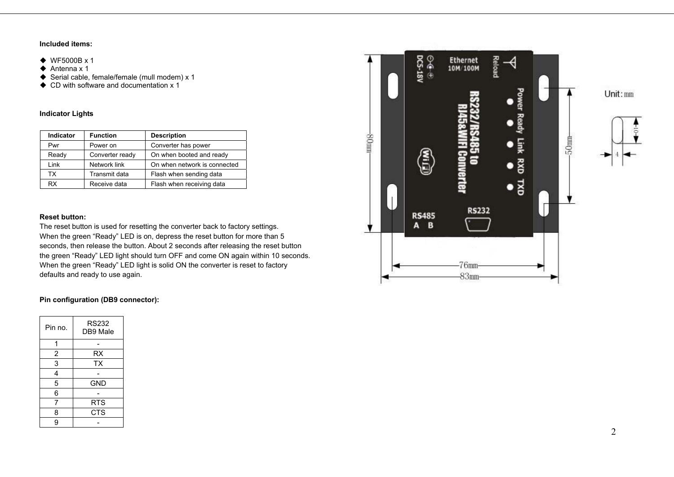## **Included items:**

- ◆ WF5000B x 1
- $\triangle$  Antenna x 1
- ◆ Serial cable, female/female (mull modem) x 1
- ◆ CD with software and documentation x 1

# **Indicator Lights**

| <b>Indicator</b> | <b>Function</b> | <b>Description</b>           |
|------------------|-----------------|------------------------------|
| Pwr              | Power on        | Converter has power          |
| Ready            | Converter ready | On when booted and ready     |
| Link             | Network link    | On when network is connected |
| тх               | Transmit data   | Flash when sending data      |
| <b>RX</b>        | Receive data    | Flash when receiving data    |

#### **Reset button:**

The reset button is used for resetting the converter back to factory settings. When the green "Ready" LED is on, depress the reset button for more than 5 seconds, then release the button. About 2 seconds after releasing the reset button the green "Ready" LED light should turn OFF and come ON again within 10 seconds. When the green "Ready" LED light is solid ON the converter is reset to factory defaults and ready to use again.

# **Pin configuration (DB9 connector):**

| Pin no. | <b>RS232</b><br>DB9 Male |
|---------|--------------------------|
| 1       |                          |
| 2       | RX                       |
| 3       | <b>TX</b>                |
| 4       |                          |
| 5       | GND                      |
| 6       |                          |
| 7       | <b>RTS</b>               |
| 8       | <b>CTS</b>               |
| g       |                          |